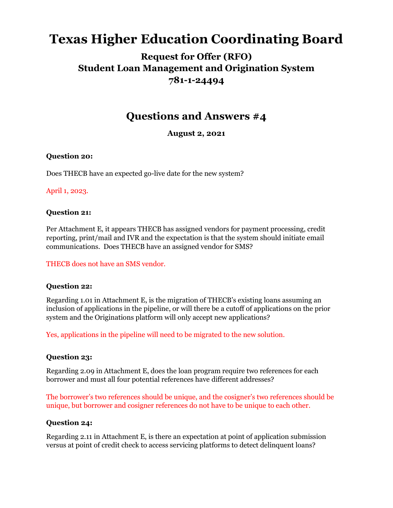# **Texas Higher Education Coordinating Board**

# **Request for Offer (RFO) Student Loan Management and Origination System 781-1-24494**

# **Questions and Answers #4**

**August 2, 2021**

#### **Question 20:**

Does THECB have an expected go-live date for the new system?

#### April 1, 2023.

#### **Question 21:**

Per Attachment E, it appears THECB has assigned vendors for payment processing, credit reporting, print/mail and IVR and the expectation is that the system should initiate email communications. Does THECB have an assigned vendor for SMS?

THECB does not have an SMS vendor.

### **Question 22:**

Regarding 1.01 in Attachment E, is the migration of THECB's existing loans assuming an inclusion of applications in the pipeline, or will there be a cutoff of applications on the prior system and the Originations platform will only accept new applications?

Yes, applications in the pipeline will need to be migrated to the new solution.

### **Question 23:**

Regarding 2.09 in Attachment E, does the loan program require two references for each borrower and must all four potential references have different addresses?

The borrower's two references should be unique, and the cosigner's two references should be unique, but borrower and cosigner references do not have to be unique to each other.

#### **Question 24:**

Regarding 2.11 in Attachment E, is there an expectation at point of application submission versus at point of credit check to access servicing platforms to detect delinquent loans?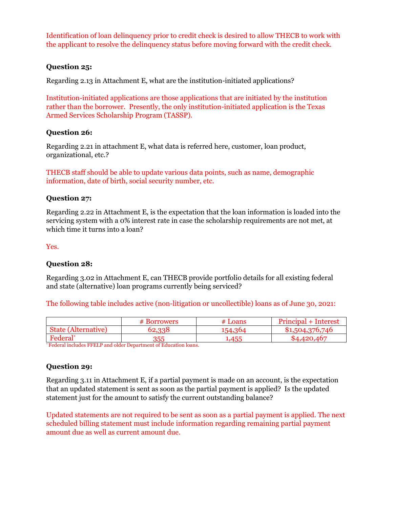Identification of loan delinquency prior to credit check is desired to allow THECB to work with the applicant to resolve the delinquency status before moving forward with the credit check.

#### **Question 25:**

Regarding 2.13 in Attachment E, what are the institution-initiated applications?

Institution-initiated applications are those applications that are initiated by the institution rather than the borrower. Presently, the only institution-initiated application is the Texas Armed Services Scholarship Program (TASSP).

#### **Question 26:**

Regarding 2.21 in attachment E, what data is referred here, customer, loan product, organizational, etc.?

THECB staff should be able to update various data points, such as name, demographic information, date of birth, social security number, etc.

#### **Question 27:**

Regarding 2.22 in Attachment E, is the expectation that the loan information is loaded into the servicing system with a 0% interest rate in case the scholarship requirements are not met, at which time it turns into a loan?

Yes.

#### **Question 28:**

Regarding 3.02 in Attachment E, can THECB provide portfolio details for all existing federal and state (alternative) loan programs currently being serviced?

The following table includes active (non-litigation or uncollectible) loans as of June 30, 2021:

|                                 | <b>Borrowers</b> | $#$ Loans | <b>Principal</b><br>+ Interest |
|---------------------------------|------------------|-----------|--------------------------------|
| (Alternative)<br>state <i>s</i> | 59.998           |           | .504.376.746                   |
| Federal                         | 355              | A E F     | .167<br>10 Q                   |

\* Federal includes FFELP and older Department of Education loans.

#### **Question 29:**

Regarding 3.11 in Attachment E, if a partial payment is made on an account, is the expectation that an updated statement is sent as soon as the partial payment is applied? Is the updated statement just for the amount to satisfy the current outstanding balance?

Updated statements are not required to be sent as soon as a partial payment is applied. The next scheduled billing statement must include information regarding remaining partial payment amount due as well as current amount due.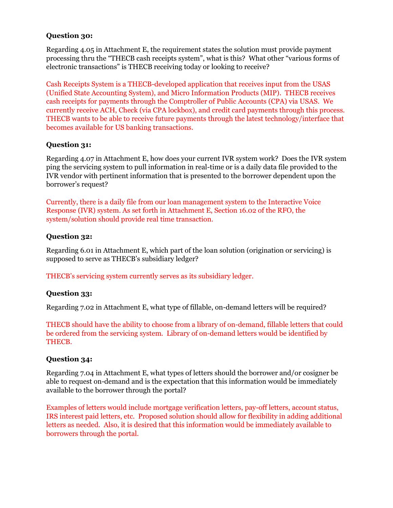#### **Question 30:**

Regarding 4.05 in Attachment E, the requirement states the solution must provide payment processing thru the "THECB cash receipts system", what is this? What other "various forms of electronic transactions" is THECB receiving today or looking to receive?

Cash Receipts System is a THECB-developed application that receives input from the USAS (Unified State Accounting System), and Micro Information Products (MIP). THECB receives cash receipts for payments through the Comptroller of Public Accounts (CPA) via USAS. We currently receive ACH, Check (via CPA lockbox), and credit card payments through this process. THECB wants to be able to receive future payments through the latest technology/interface that becomes available for US banking transactions.

#### **Question 31:**

Regarding 4.07 in Attachment E, how does your current IVR system work? Does the IVR system ping the servicing system to pull information in real-time or is a daily data file provided to the IVR vendor with pertinent information that is presented to the borrower dependent upon the borrower's request?

Currently, there is a daily file from our loan management system to the Interactive Voice Response (IVR) system. As set forth in Attachment E, Section 16.02 of the RFO, the system/solution should provide real time transaction.

#### **Question 32:**

Regarding 6.01 in Attachment E, which part of the loan solution (origination or servicing) is supposed to serve as THECB's subsidiary ledger?

THECB's servicing system currently serves as its subsidiary ledger.

#### **Question 33:**

Regarding 7.02 in Attachment E, what type of fillable, on-demand letters will be required?

THECB should have the ability to choose from a library of on-demand, fillable letters that could be ordered from the servicing system. Library of on-demand letters would be identified by THECB.

#### **Question 34:**

Regarding 7.04 in Attachment E, what types of letters should the borrower and/or cosigner be able to request on-demand and is the expectation that this information would be immediately available to the borrower through the portal?

Examples of letters would include mortgage verification letters, pay-off letters, account status, IRS interest paid letters, etc. Proposed solution should allow for flexibility in adding additional letters as needed. Also, it is desired that this information would be immediately available to borrowers through the portal.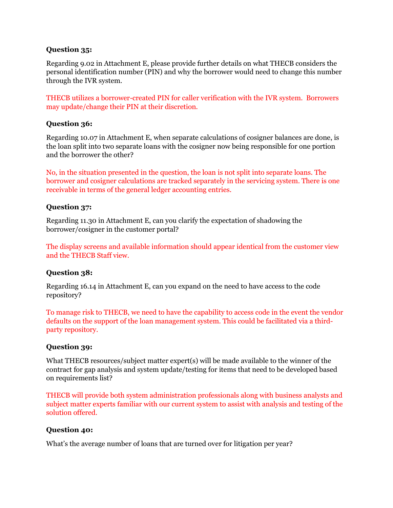#### **Question 35:**

Regarding 9.02 in Attachment E, please provide further details on what THECB considers the personal identification number (PIN) and why the borrower would need to change this number through the IVR system.

THECB utilizes a borrower-created PIN for caller verification with the IVR system. Borrowers may update/change their PIN at their discretion.

#### **Question 36:**

Regarding 10.07 in Attachment E, when separate calculations of cosigner balances are done, is the loan split into two separate loans with the cosigner now being responsible for one portion and the borrower the other?

No, in the situation presented in the question, the loan is not split into separate loans. The borrower and cosigner calculations are tracked separately in the servicing system. There is one receivable in terms of the general ledger accounting entries.

#### **Question 37:**

Regarding 11.30 in Attachment E, can you clarify the expectation of shadowing the borrower/cosigner in the customer portal?

The display screens and available information should appear identical from the customer view and the THECB Staff view.

#### **Question 38:**

Regarding 16.14 in Attachment E, can you expand on the need to have access to the code repository?

To manage risk to THECB, we need to have the capability to access code in the event the vendor defaults on the support of the loan management system. This could be facilitated via a thirdparty repository.

#### **Question 39:**

What THECB resources/subject matter expert(s) will be made available to the winner of the contract for gap analysis and system update/testing for items that need to be developed based on requirements list?

THECB will provide both system administration professionals along with business analysts and subject matter experts familiar with our current system to assist with analysis and testing of the solution offered.

#### **Question 40:**

What's the average number of loans that are turned over for litigation per year?